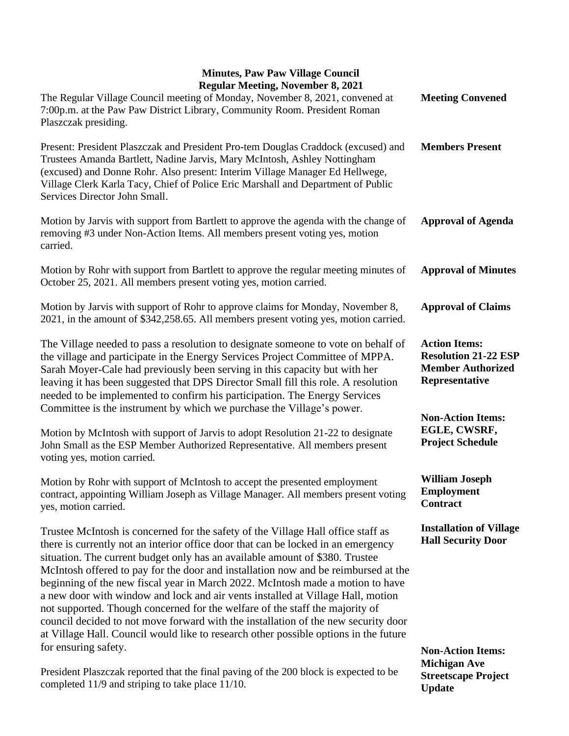## **Minutes, Paw Paw Village Council Regular Meeting, November 8, 2021**

| <b>Regular Meeting, November 8, 2021</b><br>The Regular Village Council meeting of Monday, November 8, 2021, convened at<br>7:00p.m. at the Paw Paw District Library, Community Room. President Roman<br>Plaszczak presiding.                                                                                                                                                                                                                                                                                                                                                                                                                                                                                                                                                  | <b>Meeting Convened</b>                                                                           |
|--------------------------------------------------------------------------------------------------------------------------------------------------------------------------------------------------------------------------------------------------------------------------------------------------------------------------------------------------------------------------------------------------------------------------------------------------------------------------------------------------------------------------------------------------------------------------------------------------------------------------------------------------------------------------------------------------------------------------------------------------------------------------------|---------------------------------------------------------------------------------------------------|
| Present: President Plaszczak and President Pro-tem Douglas Craddock (excused) and<br>Trustees Amanda Bartlett, Nadine Jarvis, Mary McIntosh, Ashley Nottingham<br>(excused) and Donne Rohr. Also present: Interim Village Manager Ed Hellwege,<br>Village Clerk Karla Tacy, Chief of Police Eric Marshall and Department of Public<br>Services Director John Small.                                                                                                                                                                                                                                                                                                                                                                                                            | <b>Members Present</b>                                                                            |
| Motion by Jarvis with support from Bartlett to approve the agenda with the change of<br>removing #3 under Non-Action Items. All members present voting yes, motion<br>carried.                                                                                                                                                                                                                                                                                                                                                                                                                                                                                                                                                                                                 | <b>Approval of Agenda</b>                                                                         |
| Motion by Rohr with support from Bartlett to approve the regular meeting minutes of<br>October 25, 2021. All members present voting yes, motion carried.                                                                                                                                                                                                                                                                                                                                                                                                                                                                                                                                                                                                                       | <b>Approval of Minutes</b>                                                                        |
| Motion by Jarvis with support of Rohr to approve claims for Monday, November 8,<br>2021, in the amount of \$342,258.65. All members present voting yes, motion carried.                                                                                                                                                                                                                                                                                                                                                                                                                                                                                                                                                                                                        | <b>Approval of Claims</b>                                                                         |
| The Village needed to pass a resolution to designate someone to vote on behalf of<br>the village and participate in the Energy Services Project Committee of MPPA.<br>Sarah Moyer-Cale had previously been serving in this capacity but with her<br>leaving it has been suggested that DPS Director Small fill this role. A resolution<br>needed to be implemented to confirm his participation. The Energy Services<br>Committee is the instrument by which we purchase the Village's power.                                                                                                                                                                                                                                                                                  | <b>Action Items:</b><br><b>Resolution 21-22 ESP</b><br><b>Member Authorized</b><br>Representative |
| Motion by McIntosh with support of Jarvis to adopt Resolution 21-22 to designate<br>John Small as the ESP Member Authorized Representative. All members present<br>voting yes, motion carried.                                                                                                                                                                                                                                                                                                                                                                                                                                                                                                                                                                                 | <b>Non-Action Items:</b><br>EGLE, CWSRF,<br><b>Project Schedule</b>                               |
| Motion by Rohr with support of McIntosh to accept the presented employment<br>contract, appointing William Joseph as Village Manager. All members present voting<br>yes, motion carried.                                                                                                                                                                                                                                                                                                                                                                                                                                                                                                                                                                                       | <b>William Joseph</b><br><b>Employment</b><br>Contract                                            |
| Trustee McIntosh is concerned for the safety of the Village Hall office staff as<br>there is currently not an interior office door that can be locked in an emergency<br>situation. The current budget only has an available amount of \$380. Trustee<br>McIntosh offered to pay for the door and installation now and be reimbursed at the<br>beginning of the new fiscal year in March 2022. McIntosh made a motion to have<br>a new door with window and lock and air vents installed at Village Hall, motion<br>not supported. Though concerned for the welfare of the staff the majority of<br>council decided to not move forward with the installation of the new security door<br>at Village Hall. Council would like to research other possible options in the future | <b>Installation of Village</b><br><b>Hall Security Door</b>                                       |
| for ensuring safety.                                                                                                                                                                                                                                                                                                                                                                                                                                                                                                                                                                                                                                                                                                                                                           | <b>Non-Action Items:</b><br><b>Michigan Ave</b>                                                   |

President Plaszczak reported that the final paving of the 200 block is expected to be completed 11/9 and striping to take place 11/10. **Streetscape Project Update**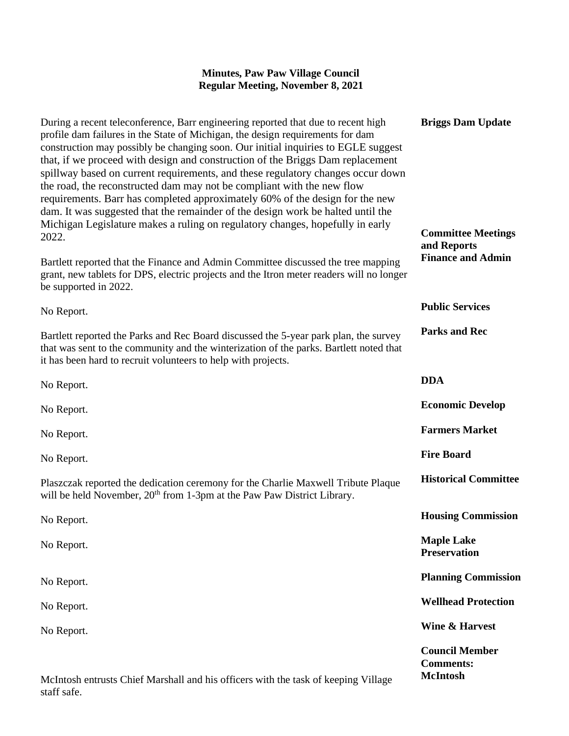## **Minutes, Paw Paw Village Council Regular Meeting, November 8, 2021**

| During a recent teleconference, Barr engineering reported that due to recent high<br>profile dam failures in the State of Michigan, the design requirements for dam<br>construction may possibly be changing soon. Our initial inquiries to EGLE suggest<br>that, if we proceed with design and construction of the Briggs Dam replacement<br>spillway based on current requirements, and these regulatory changes occur down<br>the road, the reconstructed dam may not be compliant with the new flow<br>requirements. Barr has completed approximately 60% of the design for the new<br>dam. It was suggested that the remainder of the design work be halted until the | <b>Briggs Dam Update</b>                                     |
|----------------------------------------------------------------------------------------------------------------------------------------------------------------------------------------------------------------------------------------------------------------------------------------------------------------------------------------------------------------------------------------------------------------------------------------------------------------------------------------------------------------------------------------------------------------------------------------------------------------------------------------------------------------------------|--------------------------------------------------------------|
| Michigan Legislature makes a ruling on regulatory changes, hopefully in early<br>2022.                                                                                                                                                                                                                                                                                                                                                                                                                                                                                                                                                                                     | <b>Committee Meetings</b><br>and Reports                     |
| Bartlett reported that the Finance and Admin Committee discussed the tree mapping<br>grant, new tablets for DPS, electric projects and the Itron meter readers will no longer<br>be supported in 2022.                                                                                                                                                                                                                                                                                                                                                                                                                                                                     | <b>Finance and Admin</b>                                     |
| No Report.                                                                                                                                                                                                                                                                                                                                                                                                                                                                                                                                                                                                                                                                 | <b>Public Services</b>                                       |
| Bartlett reported the Parks and Rec Board discussed the 5-year park plan, the survey<br>that was sent to the community and the winterization of the parks. Bartlett noted that<br>it has been hard to recruit volunteers to help with projects.                                                                                                                                                                                                                                                                                                                                                                                                                            | <b>Parks and Rec</b>                                         |
| No Report.                                                                                                                                                                                                                                                                                                                                                                                                                                                                                                                                                                                                                                                                 | <b>DDA</b>                                                   |
| No Report.                                                                                                                                                                                                                                                                                                                                                                                                                                                                                                                                                                                                                                                                 | <b>Economic Develop</b>                                      |
| No Report.                                                                                                                                                                                                                                                                                                                                                                                                                                                                                                                                                                                                                                                                 | <b>Farmers Market</b>                                        |
| No Report.                                                                                                                                                                                                                                                                                                                                                                                                                                                                                                                                                                                                                                                                 | <b>Fire Board</b>                                            |
| Plaszczak reported the dedication ceremony for the Charlie Maxwell Tribute Plaque<br>will be held November, 20 <sup>th</sup> from 1-3pm at the Paw Paw District Library.                                                                                                                                                                                                                                                                                                                                                                                                                                                                                                   | <b>Historical Committee</b>                                  |
| No Report.                                                                                                                                                                                                                                                                                                                                                                                                                                                                                                                                                                                                                                                                 | <b>Housing Commission</b>                                    |
| No Report.                                                                                                                                                                                                                                                                                                                                                                                                                                                                                                                                                                                                                                                                 | <b>Maple Lake</b><br><b>Preservation</b>                     |
| No Report.                                                                                                                                                                                                                                                                                                                                                                                                                                                                                                                                                                                                                                                                 | <b>Planning Commission</b>                                   |
| No Report.                                                                                                                                                                                                                                                                                                                                                                                                                                                                                                                                                                                                                                                                 | <b>Wellhead Protection</b>                                   |
| No Report.                                                                                                                                                                                                                                                                                                                                                                                                                                                                                                                                                                                                                                                                 | <b>Wine &amp; Harvest</b>                                    |
| McIntosh entrusts Chief Marshall and his officers with the task of keeping Village                                                                                                                                                                                                                                                                                                                                                                                                                                                                                                                                                                                         | <b>Council Member</b><br><b>Comments:</b><br><b>McIntosh</b> |

staff safe.